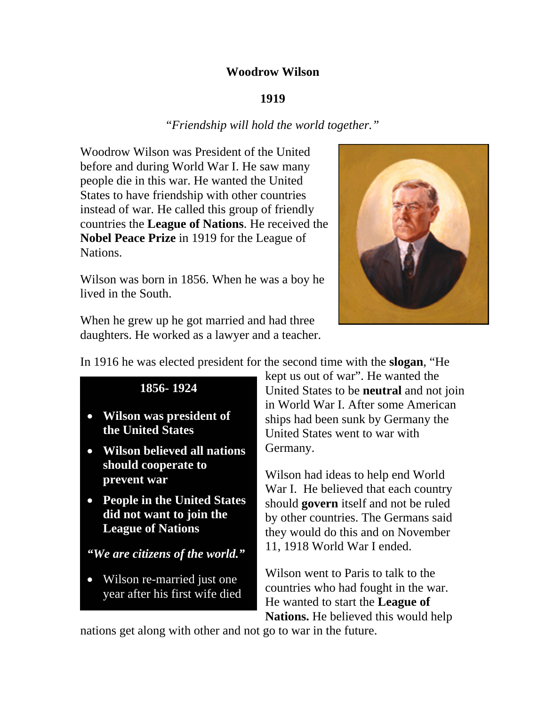#### **Woodrow Wilson**

#### **1919**

#### "*Friendship will hold the world together."*

Woodrow Wilson was President of the United before and during World War I. He saw many people die in this war. He wanted the United States to have friendship with other countries instead of war. He called this group of friendly countries the **League of Nations**. He received the **Nobel Peace Prize** in 1919 for the League of Nations.

Wilson was born in 1856. When he was a boy he lived in the South.



When he grew up he got married and had three daughters. He worked as a lawyer and a teacher.

In 1916 he was elected president for the second time with the **slogan**, "He

# **1856- 1924**

- **Wilson was president of the United States**
- **Wilson believed all nations should cooperate to prevent war**
- **People in the United States did not want to join the League of Nations**

# *"We are citizens of the world."*

• Wilson re-married just one year after his first wife died kept us out of war". He wanted the United States to be **neutral** and not join in World War I. After some American ships had been sunk by Germany the United States went to war with Germany.

Wilson had ideas to help end World War I. He believed that each country should **govern** itself and not be ruled by other countries. The Germans said they would do this and on November 11, 1918 World War I ended.

Wilson went to Paris to talk to the countries who had fought in the war. He wanted to start the **League of Nations.** He believed this would help

nations get along with other and not go to war in the future.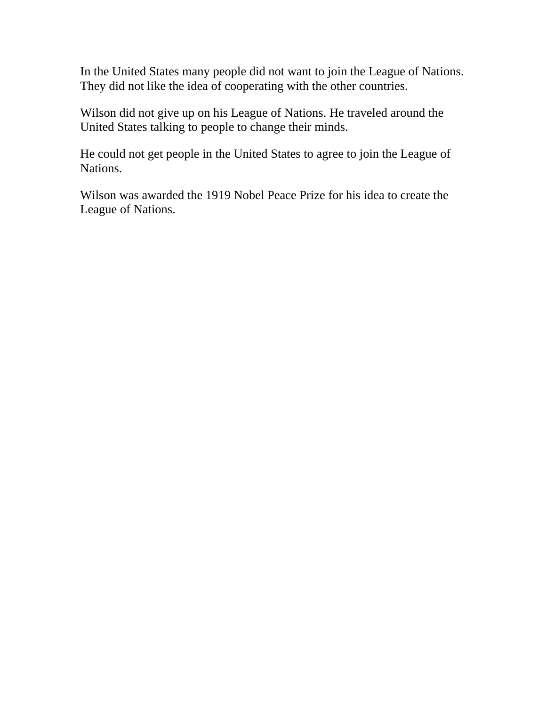In the United States many people did not want to join the League of Nations. They did not like the idea of cooperating with the other countries.

Wilson did not give up on his League of Nations. He traveled around the United States talking to people to change their minds.

He could not get people in the United States to agree to join the League of Nations.

Wilson was awarded the 1919 Nobel Peace Prize for his idea to create the League of Nations.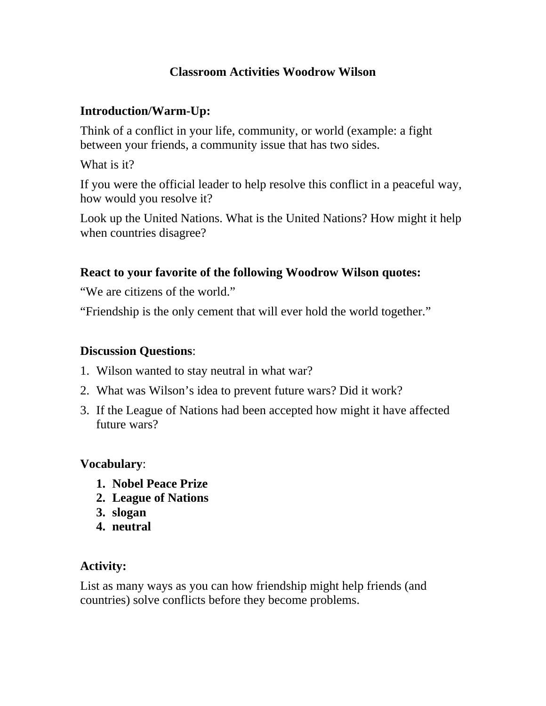## **Classroom Activities Woodrow Wilson**

## **Introduction/Warm-Up:**

Think of a conflict in your life, community, or world (example: a fight between your friends, a community issue that has two sides.

What is it?

If you were the official leader to help resolve this conflict in a peaceful way, how would you resolve it?

Look up the United Nations. What is the United Nations? How might it help when countries disagree?

## **React to your favorite of the following Woodrow Wilson quotes:**

"We are citizens of the world."

"Friendship is the only cement that will ever hold the world together."

### **Discussion Questions**:

- 1. Wilson wanted to stay neutral in what war?
- 2. What was Wilson's idea to prevent future wars? Did it work?
- 3. If the League of Nations had been accepted how might it have af fected future wars?

### **Vocabulary**:

- **1. Nobel Peace Prize**
- **2. League of Nations**
- **3. slogan**
- **4. neutral**

# **Activity:**

List as many ways as you can how friendship might help friends (and countries) solve conflicts before they become problems.